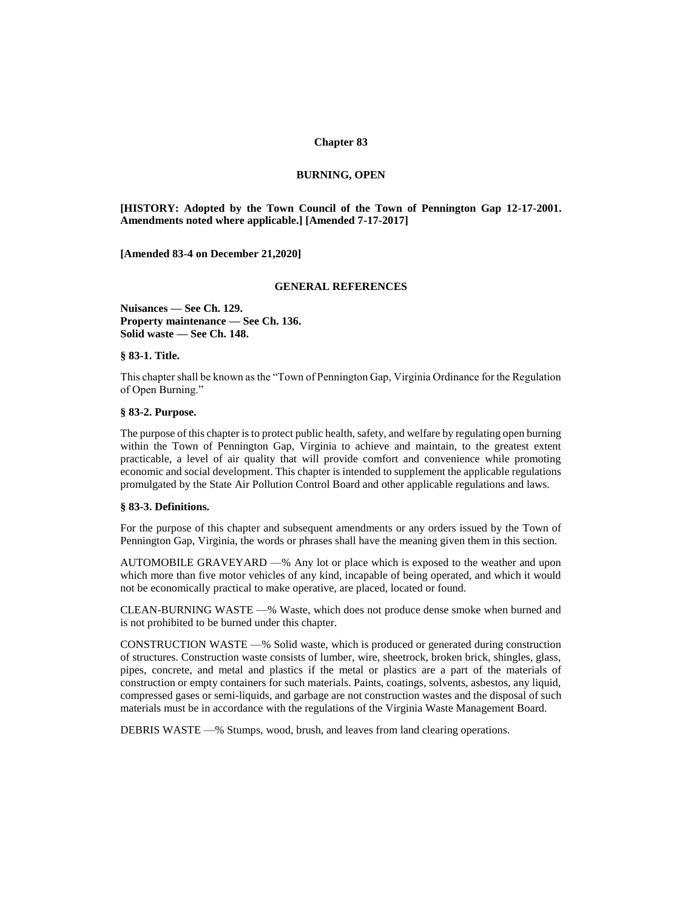### **Chapter 83**

### **BURNING, OPEN**

**[HISTORY: Adopted by the Town Council of the Town of Pennington Gap 12-17-2001. Amendments noted where applicable.] [Amended 7-17-2017]** 

**[Amended 83-4 on December 21,2020]**

### **GENERAL REFERENCES**

**Nuisances — See Ch. 129. Property maintenance — See Ch. 136. Solid waste — See Ch. 148.** 

## **§ 83-1. Title.**

This chapter shall be known as the "Town of Pennington Gap, Virginia Ordinance for the Regulation of Open Burning."

#### **§ 83-2. Purpose.**

The purpose of this chapter is to protect public health, safety, and welfare by regulating open burning within the Town of Pennington Gap, Virginia to achieve and maintain, to the greatest extent practicable, a level of air quality that will provide comfort and convenience while promoting economic and social development. This chapter is intended to supplement the applicable regulations promulgated by the State Air Pollution Control Board and other applicable regulations and laws.

#### **§ 83-3. Definitions.**

For the purpose of this chapter and subsequent amendments or any orders issued by the Town of Pennington Gap, Virginia, the words or phrases shall have the meaning given them in this section.

AUTOMOBILE GRAVEYARD —% Any lot or place which is exposed to the weather and upon which more than five motor vehicles of any kind, incapable of being operated, and which it would not be economically practical to make operative, are placed, located or found.

CLEAN-BURNING WASTE —% Waste, which does not produce dense smoke when burned and is not prohibited to be burned under this chapter.

CONSTRUCTION WASTE —% Solid waste, which is produced or generated during construction of structures. Construction waste consists of lumber, wire, sheetrock, broken brick, shingles, glass, pipes, concrete, and metal and plastics if the metal or plastics are a part of the materials of construction or empty containers for such materials. Paints, coatings, solvents, asbestos, any liquid, compressed gases or semi-liquids, and garbage are not construction wastes and the disposal of such materials must be in accordance with the regulations of the Virginia Waste Management Board.

DEBRIS WASTE —% Stumps, wood, brush, and leaves from land clearing operations.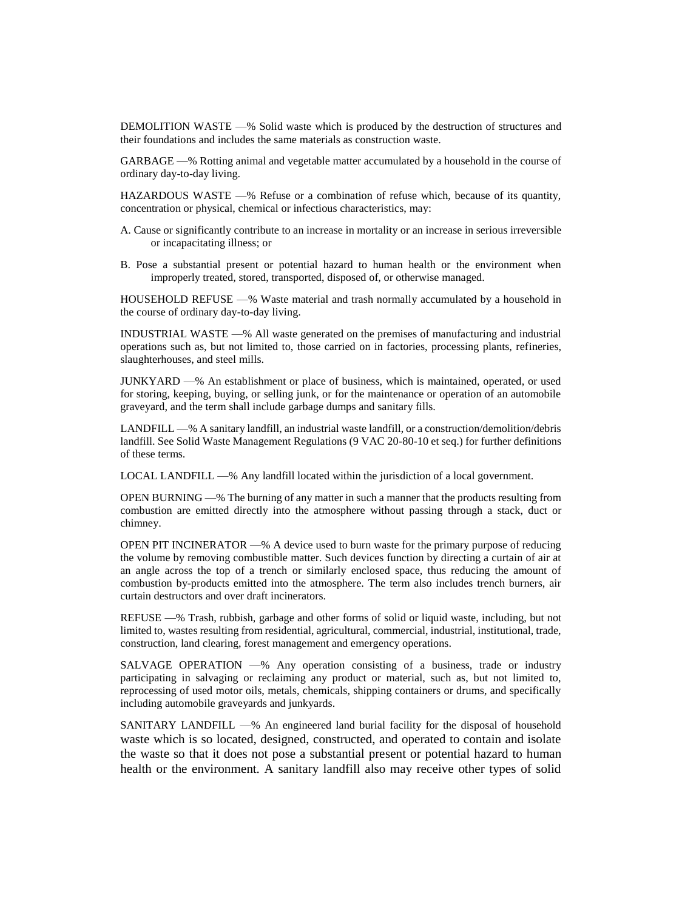DEMOLITION WASTE —% Solid waste which is produced by the destruction of structures and their foundations and includes the same materials as construction waste.

GARBAGE —% Rotting animal and vegetable matter accumulated by a household in the course of ordinary day-to-day living.

HAZARDOUS WASTE —% Refuse or a combination of refuse which, because of its quantity, concentration or physical, chemical or infectious characteristics, may:

A. Cause or significantly contribute to an increase in mortality or an increase in serious irreversible or incapacitating illness; or

B. Pose a substantial present or potential hazard to human health or the environment when improperly treated, stored, transported, disposed of, or otherwise managed.

HOUSEHOLD REFUSE —% Waste material and trash normally accumulated by a household in the course of ordinary day-to-day living.

INDUSTRIAL WASTE —% All waste generated on the premises of manufacturing and industrial operations such as, but not limited to, those carried on in factories, processing plants, refineries, slaughterhouses, and steel mills.

JUNKYARD —% An establishment or place of business, which is maintained, operated, or used for storing, keeping, buying, or selling junk, or for the maintenance or operation of an automobile graveyard, and the term shall include garbage dumps and sanitary fills.

LANDFILL —% A sanitary landfill, an industrial waste landfill, or a construction/demolition/debris landfill. See Solid Waste Management Regulations (9 VAC 20-80-10 et seq.) for further definitions of these terms.

LOCAL LANDFILL —% Any landfill located within the jurisdiction of a local government.

OPEN BURNING —% The burning of any matter in such a manner that the products resulting from combustion are emitted directly into the atmosphere without passing through a stack, duct or chimney.

OPEN PIT INCINERATOR —% A device used to burn waste for the primary purpose of reducing the volume by removing combustible matter. Such devices function by directing a curtain of air at an angle across the top of a trench or similarly enclosed space, thus reducing the amount of combustion by-products emitted into the atmosphere. The term also includes trench burners, air curtain destructors and over draft incinerators.

REFUSE —% Trash, rubbish, garbage and other forms of solid or liquid waste, including, but not limited to, wastes resulting from residential, agricultural, commercial, industrial, institutional, trade, construction, land clearing, forest management and emergency operations.

SALVAGE OPERATION —% Any operation consisting of a business, trade or industry participating in salvaging or reclaiming any product or material, such as, but not limited to, reprocessing of used motor oils, metals, chemicals, shipping containers or drums, and specifically including automobile graveyards and junkyards.

SANITARY LANDFILL —% An engineered land burial facility for the disposal of household waste which is so located, designed, constructed, and operated to contain and isolate the waste so that it does not pose a substantial present or potential hazard to human health or the environment. A sanitary landfill also may receive other types of solid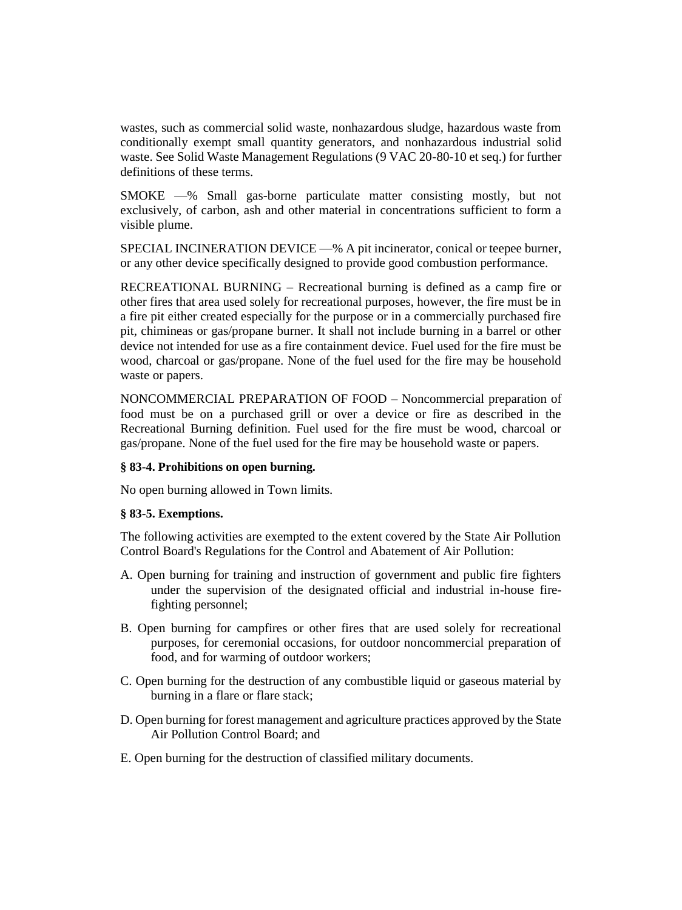wastes, such as commercial solid waste, nonhazardous sludge, hazardous waste from conditionally exempt small quantity generators, and nonhazardous industrial solid waste. See Solid Waste Management Regulations (9 VAC 20-80-10 et seq.) for further definitions of these terms.

SMOKE —% Small gas-borne particulate matter consisting mostly, but not exclusively, of carbon, ash and other material in concentrations sufficient to form a visible plume.

SPECIAL INCINERATION DEVICE —% A pit incinerator, conical or teepee burner, or any other device specifically designed to provide good combustion performance.

RECREATIONAL BURNING – Recreational burning is defined as a camp fire or other fires that area used solely for recreational purposes, however, the fire must be in a fire pit either created especially for the purpose or in a commercially purchased fire pit, chimineas or gas/propane burner. It shall not include burning in a barrel or other device not intended for use as a fire containment device. Fuel used for the fire must be wood, charcoal or gas/propane. None of the fuel used for the fire may be household waste or papers.

NONCOMMERCIAL PREPARATION OF FOOD – Noncommercial preparation of food must be on a purchased grill or over a device or fire as described in the Recreational Burning definition. Fuel used for the fire must be wood, charcoal or gas/propane. None of the fuel used for the fire may be household waste or papers.

# **§ 83-4. Prohibitions on open burning.**

No open burning allowed in Town limits.

# **§ 83-5. Exemptions.**

The following activities are exempted to the extent covered by the State Air Pollution Control Board's Regulations for the Control and Abatement of Air Pollution:

- A. Open burning for training and instruction of government and public fire fighters under the supervision of the designated official and industrial in-house firefighting personnel;
- B. Open burning for campfires or other fires that are used solely for recreational purposes, for ceremonial occasions, for outdoor noncommercial preparation of food, and for warming of outdoor workers;
- C. Open burning for the destruction of any combustible liquid or gaseous material by burning in a flare or flare stack;
- D. Open burning for forest management and agriculture practices approved by the State Air Pollution Control Board; and
- E. Open burning for the destruction of classified military documents.